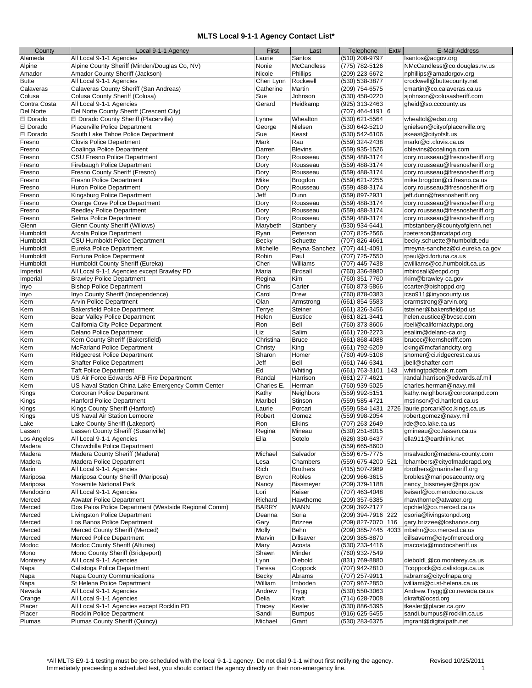## **MLTS Local 9-1-1 Agency Contact List\***

| County       | Local 9-1-1 Agency                                   | First        | Last              | Telephone            | Ext# | E-Mail Address                                      |
|--------------|------------------------------------------------------|--------------|-------------------|----------------------|------|-----------------------------------------------------|
| Alameda      | All Local 9-1-1 Agencies                             | Laurie       | Santos            | (510) 208-9797       |      | Isantos@acgov.org                                   |
| Alpine       | Alpine County Sheriff (Minden/Douglas Co, NV)        | Nonie        | <b>McCandless</b> | (775) 782-5126       |      | NMcCandless@co.douglas.nv.us                        |
| Amador       | Amador County Sheriff (Jackson)                      | Nicole       | <b>Phillips</b>   | (209) 223-6672       |      | nphillips@amadorgov.org                             |
|              |                                                      |              |                   |                      |      |                                                     |
| <b>Butte</b> | All Local 9-1-1 Agencies                             | Cheri Lynn   | Rockwell          | (530) 538-3877       |      | crockwell@buttecounty.net                           |
| Calaveras    | Calaveras County Sheriff (San Andreas)               | Catherine    | Martin            | (209) 754-6575       |      | cmartin@co.calaveras.ca.us                          |
| Colusa       | Colusa County Sheriff (Colusa)                       | Sue          | Johnson           | (530) 458-0220       |      | sjohnson@colusasheriff.com                          |
| Contra Costa | All Local 9-1-1 Agencies                             | Gerard       | Heidkamp          | (925) 313-2463       |      | gheid@so.cccounty.us                                |
| Del Norte    | Del Norte County Sheriff (Crescent City)             |              |                   | (707) 464-4191 6     |      |                                                     |
| El Dorado    | El Dorado County Sheriff (Placerville)               | Lynne        | Whealton          | (530) 621-5564       |      | whealtol@edso.org                                   |
| El Dorado    | Placerville Police Department                        | George       | Nielsen           | (530) 642-5210       |      | gnielsen@cityofplacerville.org                      |
| El Dorado    | South Lake Tahoe Police Department                   | Sue          | Keast             | (530) 542-6106       |      | skeast@cityofslt.us                                 |
|              |                                                      |              |                   |                      |      |                                                     |
| Fresno       | <b>Clovis Police Department</b>                      | Mark         | Rau               | (559) 324-2438       |      | markr@ci.clovis.ca.us                               |
| Fresno       | Coalinga Police Department                           | Darren       | <b>Blevins</b>    | (559) 935-1526       |      | dblevins@coalinga.com                               |
| Fresno       | CSU Fresno Police Department                         | Dory         | Rousseau          | (559) 488-3174       |      | dory.rousseau@fresnosheriff.org                     |
| Fresno       | Firebaugh Police Department                          | Dory         | Rousseau          | (559) 488-3174       |      | dory.rousseau@fresnosheriff.org                     |
| Fresno       | Fresno County Sheriff (Fresno)                       | Dory         | Rousseau          | (559) 488-3174       |      | dory.rousseau@fresnosheriff.org                     |
| Fresno       | Fresno Police Department                             | Mike         | Brogdon           | (559) 621-2255       |      | mike.brogdon@ci.fresno.ca.us                        |
| Fresno       | Huron Police Department                              | Dory         | Rousseau          | (559) 488-3174       |      | dory.rousseau@fresnosheriff.org                     |
| Fresno       | Kingsburg Police Department                          | Jeff         | Dunn              | (559) 897-2931       |      | jeff.dunn@fresnosheriff.org                         |
| Fresno       | Orange Cove Police Department                        |              | Rousseau          |                      |      | dory.rousseau@fresnosheriff.org                     |
|              |                                                      | Dory         |                   | (559) 488-3174       |      |                                                     |
| Fresno       | <b>Reedley Police Department</b>                     | Dory         | Rousseau          | (559) 488-3174       |      | dory.rousseau@fresnosheriff.org                     |
| Fresno       | Selma Police Department                              | Dory         | Rousseau          | (559) 488-3174       |      | dory.rousseau@fresnosheriff.org                     |
| Glenn        | Glenn County Sheriff (Willows)                       | Marybeth     | Stanbery          | (530) 934-6441       |      | mbstanbery@countyofglenn.net                        |
| Humboldt     | Arcata Police Department                             | Ryan         | Peterson          | (707) 825-2566       |      | rpeterson@arcatapd.org                              |
| Humboldt     | <b>CSU Humboldt Police Department</b>                | Becky        | Schuette          | (707) 826-4661       |      | becky.schuette@humboldt.edu                         |
| Humboldt     | Eureka Police Department                             | Michelle     | Reyna-Sanchez     | (707) 441-4091       |      | mreyna-sanchez@ci.eureka.ca.gov                     |
| Humboldt     | Fortuna Police Department                            | Robin        | Paul              | (707) 725-7550       |      | rpaul@ci.fortuna.ca.us                              |
| Humboldt     | Humboldt County Sheriff (Eureka)                     | Cheri        | Williams          | (707) 445-7438       |      | cwilliams@co.humboldt.ca.us                         |
|              |                                                      |              |                   |                      |      |                                                     |
| Imperial     | All Local 9-1-1 Agencies except Brawley PD           | Maria        | <b>Birdsall</b>   | (760) 336-8980       |      | mbirdsall@ecpd.org                                  |
| Imperial     | <b>Brawley Police Department</b>                     | Regina       | Kim               | (760) 351-7760       |      | rkim@brawley-ca.gov                                 |
| Inyo         | <b>Bishop Police Department</b>                      | Chris        | Carter            | (760) 873-5866       |      | ccarter@bishoppd.org                                |
| Inyo         | Inyo County Sheriff (Independence)                   | Carol        | Drew              | (760) 878-0383       |      | icso911@inyocounty.us                               |
| Kern         | <b>Arvin Police Department</b>                       | Olan         | Armstrong         | (661) 854-5583       |      | orarmstrong@arvin.org                               |
| Kern         | <b>Bakersfield Police Department</b>                 | Terrye       | Steiner           | (661) 326-3456       |      | tsteiner@bakersfieldpd.us                           |
| Kern         | Bear Valley Police Department                        | Helen        | Eustice           | (661) 821-3441       |      | helen.eustice@bvcsd.com                             |
| Kern         | California City Police Department                    | Ron          | Bell              | (760) 373-8606       |      | rbell@californiacitypd.org                          |
| Kern         | Delano Police Department                             | Liz          | Salim             | (661) 720-2273       |      | esalim@delano-ca.org                                |
| Kern         | Kern County Sheriff (Bakersfield)                    | Christina    | <b>Bruce</b>      | (661) 868-4088       |      | brucec@kernsheriff.com                              |
|              |                                                      |              |                   |                      |      |                                                     |
| Kern         | <b>McFarland Police Department</b>                   | Christy      | King              | (661) 792-6209       |      | cking@mcfarlandcity.org                             |
| Kern         | <b>Ridgecrest Police Department</b>                  | Sharon       | Homer             | (760) 499-5108       |      | shomer@ci.ridgecrest.ca.us                          |
| Kern         | <b>Shafter Police Department</b>                     | Jeff         | Bell              | (661) 746-6341       |      | ibell@shafter.com                                   |
| Kern         | <b>Taft Police Department</b>                        | Ed           | Whiting           | (661) 763-3101   143 |      | whitingtpd@bak.rr.com                               |
| Kern         | US Air Force Edwards AFB Fire Department             | Randal       | Harrison          | (661) 277-4621       |      | randal.harrison@edwards.af.mil                      |
| Kern         | US Naval Station China Lake Emergency Comm Center    | Charles E.   | Herman            | (760) 939-5025       |      | charles.herman@navy.mil                             |
| Kings        | Corcoran Police Department                           | Kathy        | Neighbors         | (559) 992-5151       |      | kathy.neighbors@corcoranpd.com                      |
| Kings        | Hanford Police Department                            | Maribel      | Stinson           | (559) 585-4721       |      | mstinson@ci.hanford.ca.us                           |
| Kings        | Kings County Sheriff (Hanford)                       | Laurie       | Porcari           |                      |      | (559) 584-1431 2726   laurie.porcari@co.kings.ca.us |
| Kings        | <b>US Naval Air Station Lemoore</b>                  | Robert       | Gomez             | (559) 998-2054       |      | robert.gomez@navy.mil                               |
|              |                                                      | Ron          | Elkins            | (707) 263-2649       |      | rde@co.lake.ca.us                                   |
| Lake         | Lake County Sheriff (Lakeport)                       |              |                   |                      |      |                                                     |
| Lassen       | Lassen County Sheriff (Susanville)                   | Regina       | Mineau            | (530) 251-8015       |      | gmineau@co.lassen.ca.us                             |
| Los Angeles  | All Local 9-1-1 Agencies                             | Ella         | Sotelo            | (626) 330-6437       |      | ella911@earthlink.net                               |
| Madera       | Chowchilla Police Department                         |              |                   | (559) 665-8600       |      |                                                     |
| Madera       | Madera County Sheriff (Madera)                       | Michael      | Salvador          | (559) 675-7775       |      | msalvador@madera-county.com                         |
| Madera       | Madera Police Department                             | Lesa         | Chambers          | (559) 675-4200 521   |      | Ichambers@cityofmaderapd.org                        |
| Marin        | All Local 9-1-1 Agencies                             | Rich         | <b>Brothers</b>   | (415) 507-2989       |      | rbrothers@marinsheriff.org                          |
| Mariposa     | Mariposa County Sheriff (Mariposa)                   | Byron        | Robles            | (209) 966-3615       |      | brobles@mariposacounty.org                          |
|              | Yosemite National Park                               |              | <b>Bissmeyer</b>  | (209) 379-1188       |      | nancy_bissmeyer@nps.gov                             |
| Mariposa     |                                                      | Nancy        |                   |                      |      |                                                     |
| Mendocino    | All Local 9-1-1 Agencies                             | Lori         | Keiser            | (707) 463-4048       |      | keiserl@co.mendocino.ca.us                          |
| Merced       | <b>Atwater Police Department</b>                     | Richard      | Hawthorne         | (209) 357-6385       |      | rhawthorne@atwater.org                              |
| Merced       | Dos Palos Police Department (Westside Regional Comm) | <b>BARRY</b> | <b>MANN</b>       | (209) 392-2177       |      | dpchief@co.merced.ca.us                             |
| Merced       | <b>Livingston Police Department</b>                  | Deanna       | Soria             | (209) 394-7916 222   |      | dsoria@livingstonpd.org                             |
| Merced       | Los Banos Police Department                          | Gary         | <b>Brizzee</b>    | (209) 827-7070   116 |      | gary.brizzee@losbanos.org                           |
| Merced       | Merced County Sheriff (Merced)                       | Molly        | Behn              |                      |      | (209) 385-7445 4033 mbehn@co.merced.ca.us           |
| Merced       | Merced Police Department                             | Marvin       | <b>Dillsaver</b>  | (209) 385-8870       |      | dillsaverm@cityofmerced.org                         |
| Modoc        | Modoc County Sheriff (Alturas)                       | Mary         | Acosta            | (530) 233-4416       |      | macosta@modocsheriff.us                             |
| Mono         | Mono County Sheriff (Bridgeport)                     | Shawn        | Minder            | (760) 932-7549       |      |                                                     |
| Monterey     | All Local 9-1-1 Agencies                             | Lynn         | Diebold           | (831) 769-8880       |      | dieboldL@co.monterey.ca.us                          |
|              | Calistoga Police Department                          | Teresa       | Coppock           | (707) 942-2810       |      | Tcoppock@ci.calistoga.ca.us                         |
| Napa         |                                                      |              |                   |                      |      |                                                     |
| Napa         | Napa County Communications                           | Becky        | Abrams            | (707) 257-9911       |      | rabrams@cityofnapa.org                              |
| Napa         | St Helena Police Department                          | William      | Imboden           | (707) 967-2850       |      | williami@ci.st-helena.ca.us                         |
| Nevada       | All Local 9-1-1 Agencies                             | Andrew       | Trygg             | (530) 550-3063       |      | Andrew.Trygg@co.nevada.ca.us                        |
| Orange       | All Local 9-1-1 Agencies                             | Delia        | Kraft             | (714) 628-7008       |      | dkraft@ocsd.org                                     |
| Placer       | All Local 9-1-1 Agencies except Rocklin PD           | Tracey       | Kesler            | (530) 886-5395       |      | tkesler@placer.ca.gov                               |
| Placer       | Rocklin Police Department                            | Sandi        | <b>Bumpus</b>     | (916) 625-5455       |      | sandi.bumpus@rocklin.ca.us                          |
| Plumas       | Plumas County Sheriff (Quincy)                       | Michael      | Grant             | (530) 283-6375       |      | mgrant@digitalpath.net                              |